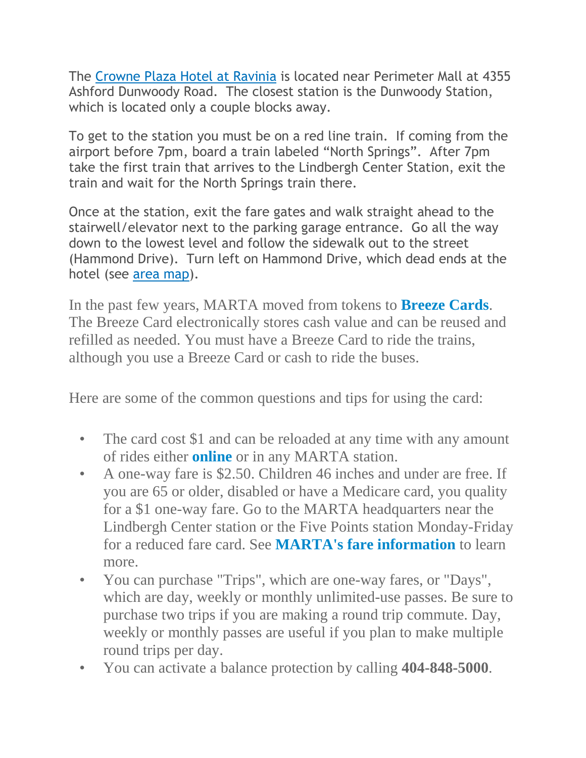The [Crowne](http://www.ichotelsgroup.com/h/d/cp/1/en/hotel/atlcp) Plaza Hotel at Ravinia is located near Perimeter Mall at 4355 Ashford Dunwoody Road. The closest station is the Dunwoody Station, which is located only a couple blocks away.

To get to the station you must be on a red line train. If coming from the airport before 7pm, board a train labeled "North Springs". After 7pm take the first train that arrives to the Lindbergh Center Station, exit the train and wait for the North Springs train there.

Once at the station, exit the fare gates and walk straight ahead to the stairwell/elevator next to the parking garage entrance. Go all the way down to the lowest level and follow the sidewalk out to the street (Hammond Drive). Turn left on Hammond Drive, which dead ends at the hotel (see area [map\)](http://maps.google.com/maps/ms?oe=utf-8&client=firefox-a&ie=UTF8&fb=1&gl=us&hq=crowne+plaza+perimeter+ravinia&hnear=Atlanta,+GA&hl=en&msa=0&ll=33.922708,-84.341183&spn=0.008119,0.013797&z=16&msid=217122310201388096271.0004a238a7a40bb1fde69).

In the past few years, MARTA moved from tokens to **[Breeze](http://www.breezecard.com/) Cards**. The Breeze Card electronically stores cash value and can be reused and refilled as needed. You must have a Breeze Card to ride the trains, although you use a Breeze Card or cash to ride the buses.

Here are some of the common questions and tips for using the card:

- The card cost \$1 and can be reloaded at any time with any amount of rides either **[online](https://is.breezecard.com/marta/)** or in any MARTA station.
- A one-way fare is \$2.50. Children 46 inches and under are free. If you are 65 or older, disabled or have a Medicare card, you quality for a \$1 one-way fare. Go to the MARTA headquarters near the Lindbergh Center station or the Five Points station Monday-Friday for a reduced fare card. See **MARTA's fare [information](http://www.itsmarta.com/fares-passes.aspx)** to learn more.
- You can purchase "Trips", which are one-way fares, or "Days", which are day, weekly or monthly unlimited-use passes. Be sure to purchase two trips if you are making a round trip commute. Day, weekly or monthly passes are useful if you plan to make multiple round trips per day.
- You can activate a balance protection by calling **404-848-5000**.